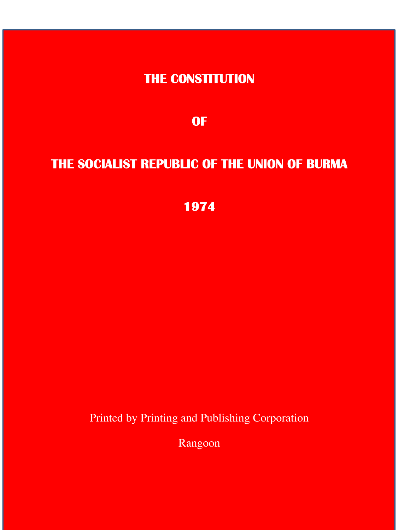**THE CONSTITUTION** 

**OF** 

# **THE SOCIALIST REPUBLIC OF THE UNION OF BURMA**

**1974** 

Printed by Printing and Publishing Corporation

Rangoon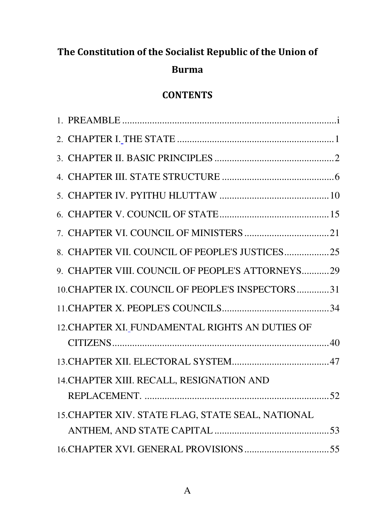# The Constitution of the Socialist Republic of the Union of

# Burma

# **CONTENTS**

| 8. CHAPTER VII. COUNCIL OF PEOPLE'S JUSTICES25    |    |
|---------------------------------------------------|----|
| 9. CHAPTER VIII. COUNCIL OF PEOPLE'S ATTORNEYS29  |    |
| 10. CHAPTER IX. COUNCIL OF PEOPLE'S INSPECTORS31  |    |
|                                                   |    |
| 12. CHAPTER XI. FUNDAMENTAL RIGHTS AN DUTIES OF   |    |
|                                                   |    |
|                                                   |    |
| 14. CHAPTER XIII. RECALL, RESIGNATION AND         |    |
| REPLACEMENT.                                      | 52 |
| 15. CHAPTER XIV. STATE FLAG, STATE SEAL, NATIONAL |    |
|                                                   |    |
|                                                   |    |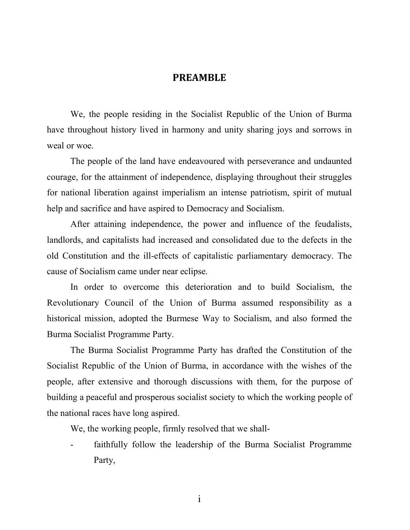#### PREAMBLE

We, the people residing in the Socialist Republic of the Union of Burma have throughout history lived in harmony and unity sharing joys and sorrows in weal or woe.

The people of the land have endeavoured with perseverance and undaunted courage, for the attainment of independence, displaying throughout their struggles for national liberation against imperialism an intense patriotism, spirit of mutual help and sacrifice and have aspired to Democracy and Socialism.

After attaining independence, the power and influence of the feudalists, landlords, and capitalists had increased and consolidated due to the defects in the old Constitution and the ill-effects of capitalistic parliamentary democracy. The cause of Socialism came under near eclipse.

In order to overcome this deterioration and to build Socialism, the Revolutionary Council of the Union of Burma assumed responsibility as a historical mission, adopted the Burmese Way to Socialism, and also formed the Burma Socialist Programme Party.

The Burma Socialist Programme Party has drafted the Constitution of the Socialist Republic of the Union of Burma, in accordance with the wishes of the people, after extensive and thorough discussions with them, for the purpose of building a peaceful and prosperous socialist society to which the working people of the national races have long aspired.

We, the working people, firmly resolved that we shall-

faithfully follow the leadership of the Burma Socialist Programme Party,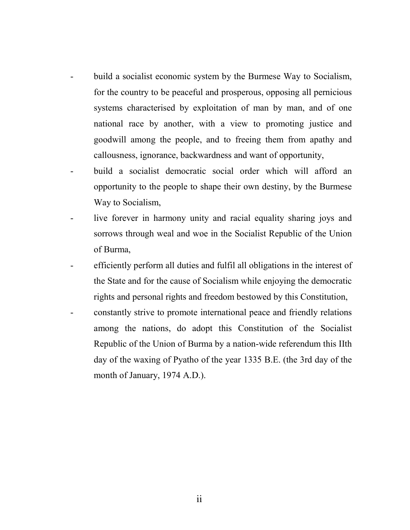- build a socialist economic system by the Burmese Way to Socialism, for the country to be peaceful and prosperous, opposing all pernicious systems characterised by exploitation of man by man, and of one national race by another, with a view to promoting justice and goodwill among the people, and to freeing them from apathy and callousness, ignorance, backwardness and want of opportunity,
- build a socialist democratic social order which will afford an opportunity to the people to shape their own destiny, by the Burmese Way to Socialism,
- live forever in harmony unity and racial equality sharing joys and sorrows through weal and woe in the Socialist Republic of the Union of Burma,
- efficiently perform all duties and fulfil all obligations in the interest of the State and for the cause of Socialism while enjoying the democratic rights and personal rights and freedom bestowed by this Constitution,
- constantly strive to promote international peace and friendly relations among the nations, do adopt this Constitution of the Socialist Republic of the Union of Burma by a nation-wide referendum this IIth day of the waxing of Pyatho of the year 1335 B.E. (the 3rd day of the month of January, 1974 A.D.).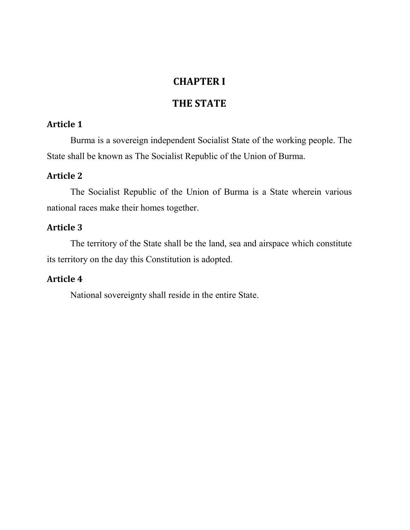## CHAPTER I

## THE STATE

## Article 1

Burma is a sovereign independent Socialist State of the working people. The State shall be known as The Socialist Republic of the Union of Burma.

## Article 2

The Socialist Republic of the Union of Burma is a State wherein various national races make their homes together.

## Article 3

The territory of the State shall be the land, sea and airspace which constitute its territory on the day this Constitution is adopted.

## Article 4

National sovereignty shall reside in the entire State.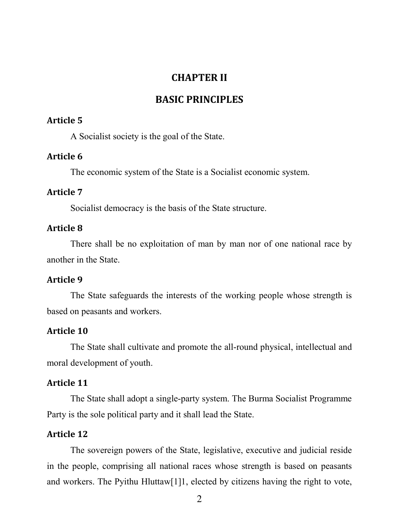## CHAPTER II

## BASIC PRINCIPLES

#### Article 5

A Socialist society is the goal of the State.

#### Article 6

The economic system of the State is a Socialist economic system.

## Article 7

Socialist democracy is the basis of the State structure.

#### Article 8

There shall be no exploitation of man by man nor of one national race by another in the State.

#### Article 9

The State safeguards the interests of the working people whose strength is based on peasants and workers.

#### Article 10

The State shall cultivate and promote the all-round physical, intellectual and moral development of youth.

#### Article 11

The State shall adopt a single-party system. The Burma Socialist Programme Party is the sole political party and it shall lead the State.

#### Article 12

The sovereign powers of the State, legislative, executive and judicial reside in the people, comprising all national races whose strength is based on peasants and workers. The Pyithu Hluttaw[1]1, elected by citizens having the right to vote,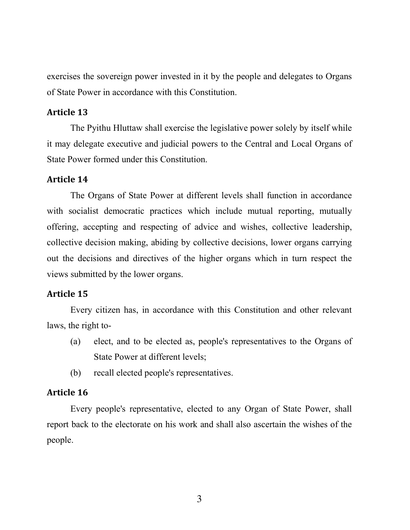exercises the sovereign power invested in it by the people and delegates to Organs of State Power in accordance with this Constitution.

#### Article 13

The Pyithu Hluttaw shall exercise the legislative power solely by itself while it may delegate executive and judicial powers to the Central and Local Organs of State Power formed under this Constitution.

#### Article 14

The Organs of State Power at different levels shall function in accordance with socialist democratic practices which include mutual reporting, mutually offering, accepting and respecting of advice and wishes, collective leadership, collective decision making, abiding by collective decisions, lower organs carrying out the decisions and directives of the higher organs which in turn respect the views submitted by the lower organs.

### Article 15

Every citizen has, in accordance with this Constitution and other relevant laws, the right to-

- (a) elect, and to be elected as, people's representatives to the Organs of State Power at different levels;
- (b) recall elected people's representatives.

#### Article 16

Every people's representative, elected to any Organ of State Power, shall report back to the electorate on his work and shall also ascertain the wishes of the people.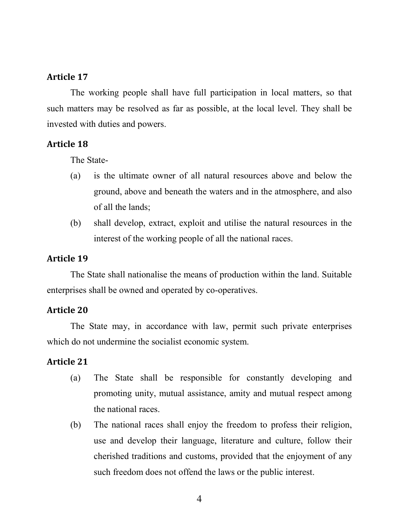The working people shall have full participation in local matters, so that such matters may be resolved as far as possible, at the local level. They shall be invested with duties and powers.

### Article 18

The State-

- (a) is the ultimate owner of all natural resources above and below the ground, above and beneath the waters and in the atmosphere, and also of all the lands;
- (b) shall develop, extract, exploit and utilise the natural resources in the interest of the working people of all the national races.

### Article 19

The State shall nationalise the means of production within the land. Suitable enterprises shall be owned and operated by co-operatives.

### Article 20

The State may, in accordance with law, permit such private enterprises which do not undermine the socialist economic system.

- (a) The State shall be responsible for constantly developing and promoting unity, mutual assistance, amity and mutual respect among the national races.
- (b) The national races shall enjoy the freedom to profess their religion, use and develop their language, literature and culture, follow their cherished traditions and customs, provided that the enjoyment of any such freedom does not offend the laws or the public interest.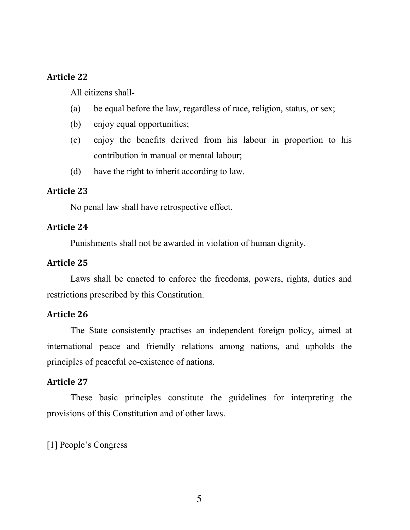All citizens shall-

- (a) be equal before the law, regardless of race, religion, status, or sex;
- (b) enjoy equal opportunities;
- (c) enjoy the benefits derived from his labour in proportion to his contribution in manual or mental labour;
- (d) have the right to inherit according to law.

#### Article 23

No penal law shall have retrospective effect.

#### Article 24

Punishments shall not be awarded in violation of human dignity.

## Article 25

Laws shall be enacted to enforce the freedoms, powers, rights, duties and restrictions prescribed by this Constitution.

#### Article 26

The State consistently practises an independent foreign policy, aimed at international peace and friendly relations among nations, and upholds the principles of peaceful co-existence of nations.

#### Article 27

These basic principles constitute the guidelines for interpreting the provisions of this Constitution and of other laws.

[1] People's Congress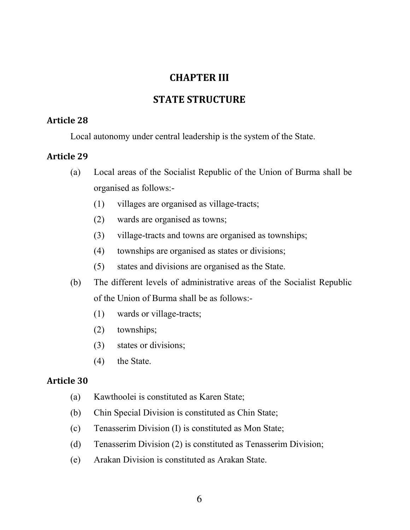## CHAPTER III

## STATE STRUCTURE

## Article 28

Local autonomy under central leadership is the system of the State.

### Article 29

- (a) Local areas of the Socialist Republic of the Union of Burma shall be organised as follows:-
	- (1) villages are organised as village-tracts;
	- (2) wards are organised as towns;
	- (3) village-tracts and towns are organised as townships;
	- (4) townships are organised as states or divisions;
	- (5) states and divisions are organised as the State.
- (b) The different levels of administrative areas of the Socialist Republic of the Union of Burma shall be as follows:-
	- (1) wards or village-tracts;
	- (2) townships;
	- (3) states or divisions;
	- (4) the State.

- (a) Kawthoolei is constituted as Karen State;
- (b) Chin Special Division is constituted as Chin State;
- (c) Tenasserim Division (I) is constituted as Mon State;
- (d) Tenasserim Division (2) is constituted as Tenasserim Division;
- (e) Arakan Division is constituted as Arakan State.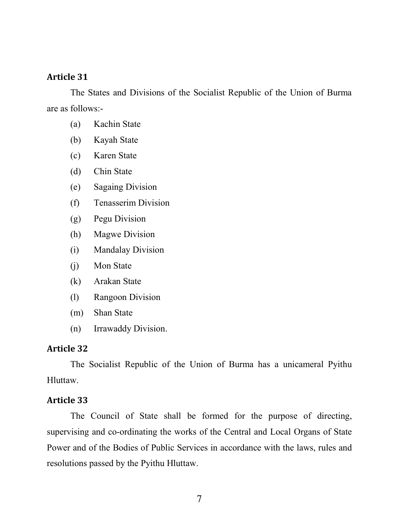The States and Divisions of the Socialist Republic of the Union of Burma are as follows:-

- (a) Kachin State
- (b) Kayah State
- (c) Karen State
- (d) Chin State
- (e) Sagaing Division
- (f) Tenasserim Division
- (g) Pegu Division
- (h) Magwe Division
- (i) Mandalay Division
- (j) Mon State
- (k) Arakan State
- (l) Rangoon Division
- (m) Shan State
- (n) Irrawaddy Division.

#### Article 32

The Socialist Republic of the Union of Burma has a unicameral Pyithu Hluttaw.

#### Article 33

The Council of State shall be formed for the purpose of directing, supervising and co-ordinating the works of the Central and Local Organs of State Power and of the Bodies of Public Services in accordance with the laws, rules and resolutions passed by the Pyithu Hluttaw.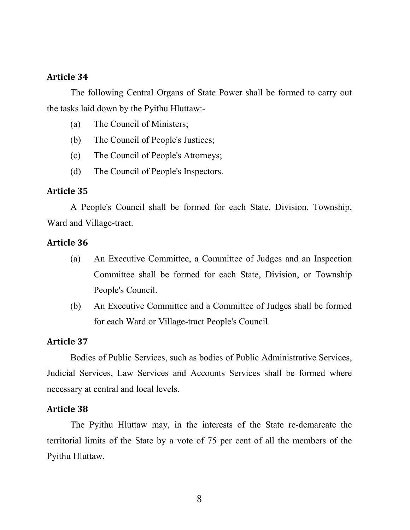The following Central Organs of State Power shall be formed to carry out the tasks laid down by the Pyithu Hluttaw:-

- (a) The Council of Ministers;
- (b) The Council of People's Justices;
- (c) The Council of People's Attorneys;
- (d) The Council of People's Inspectors.

#### Article 35

A People's Council shall be formed for each State, Division, Township, Ward and Village-tract.

#### Article 36

- (a) An Executive Committee, a Committee of Judges and an Inspection Committee shall be formed for each State, Division, or Township People's Council.
- (b) An Executive Committee and a Committee of Judges shall be formed for each Ward or Village-tract People's Council.

#### Article 37

Bodies of Public Services, such as bodies of Public Administrative Services, Judicial Services, Law Services and Accounts Services shall be formed where necessary at central and local levels.

#### Article 38

The Pyithu Hluttaw may, in the interests of the State re-demarcate the territorial limits of the State by a vote of 75 per cent of all the members of the Pyithu Hluttaw.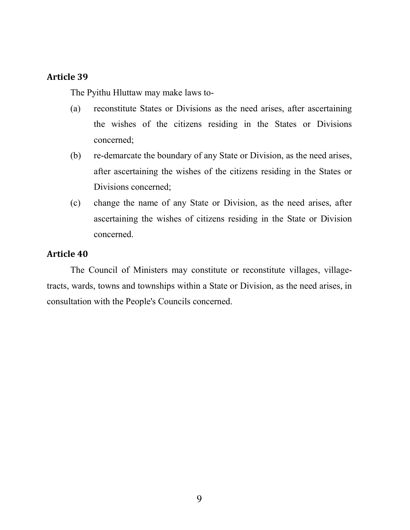The Pyithu Hluttaw may make laws to-

- (a) reconstitute States or Divisions as the need arises, after ascertaining the wishes of the citizens residing in the States or Divisions concerned;
- (b) re-demarcate the boundary of any State or Division, as the need arises, after ascertaining the wishes of the citizens residing in the States or Divisions concerned;
- (c) change the name of any State or Division, as the need arises, after ascertaining the wishes of citizens residing in the State or Division concerned.

#### Article 40

The Council of Ministers may constitute or reconstitute villages, villagetracts, wards, towns and townships within a State or Division, as the need arises, in consultation with the People's Councils concerned.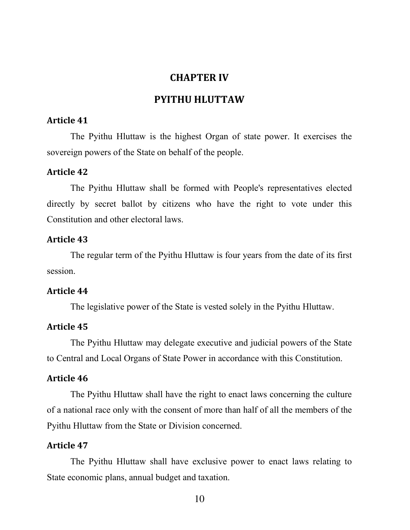## CHAPTER IV

## PYITHU HLUTTAW

### Article 41

The Pyithu Hluttaw is the highest Organ of state power. It exercises the sovereign powers of the State on behalf of the people.

#### Article 42

The Pyithu Hluttaw shall be formed with People's representatives elected directly by secret ballot by citizens who have the right to vote under this Constitution and other electoral laws.

#### Article 43

The regular term of the Pyithu Hluttaw is four years from the date of its first session.

#### Article 44

The legislative power of the State is vested solely in the Pyithu Hluttaw.

#### Article 45

The Pyithu Hluttaw may delegate executive and judicial powers of the State to Central and Local Organs of State Power in accordance with this Constitution.

#### Article 46

The Pyithu Hluttaw shall have the right to enact laws concerning the culture of a national race only with the consent of more than half of all the members of the Pyithu Hluttaw from the State or Division concerned.

#### Article 47

The Pyithu Hluttaw shall have exclusive power to enact laws relating to State economic plans, annual budget and taxation.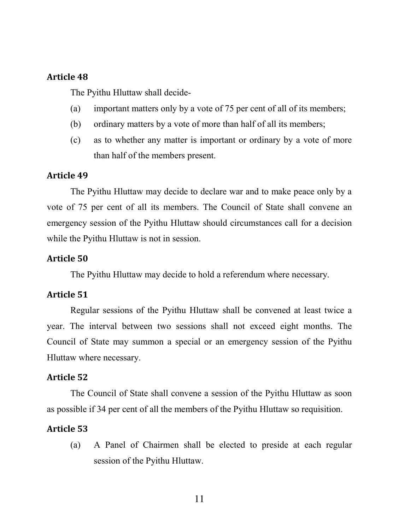The Pyithu Hluttaw shall decide-

- (a) important matters only by a vote of 75 per cent of all of its members;
- (b) ordinary matters by a vote of more than half of all its members;
- (c) as to whether any matter is important or ordinary by a vote of more than half of the members present.

#### Article 49

The Pyithu Hluttaw may decide to declare war and to make peace only by a vote of 75 per cent of all its members. The Council of State shall convene an emergency session of the Pyithu Hluttaw should circumstances call for a decision while the Pyithu Hluttaw is not in session.

#### Article 50

The Pyithu Hluttaw may decide to hold a referendum where necessary.

#### Article 51

Regular sessions of the Pyithu Hluttaw shall be convened at least twice a year. The interval between two sessions shall not exceed eight months. The Council of State may summon a special or an emergency session of the Pyithu Hluttaw where necessary.

#### Article 52

The Council of State shall convene a session of the Pyithu Hluttaw as soon as possible if 34 per cent of all the members of the Pyithu Hluttaw so requisition.

#### Article 53

(a) A Panel of Chairmen shall be elected to preside at each regular session of the Pyithu Hluttaw.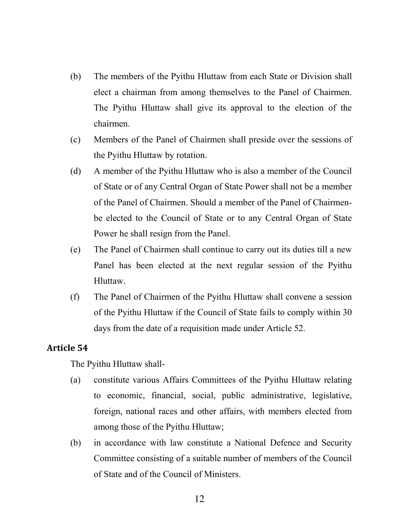- (b) The members of the Pyithu Hluttaw from each State or Division shall elect a chairman from among themselves to the Panel of Chairmen. The Pyithu Hluttaw shall give its approval to the election of the chairmen.
- (c) Members of the Panel of Chairmen shall preside over the sessions of the Pyithu Hluttaw by rotation.
- (d) A member of the Pyithu Hluttaw who is also a member of the Council of State or of any Central Organ of State Power shall not be a member of the Panel of Chairmen. Should a member of the Panel of Chairmenbe elected to the Council of State or to any Central Organ of State Power he shall resign from the Panel.
- (e) The Panel of Chairmen shall continue to carry out its duties till a new Panel has been elected at the next regular session of the Pyithu Hluttaw.
- (f) The Panel of Chairmen of the Pyithu Hluttaw shall convene a session of the Pyithu Hluttaw if the Council of State fails to comply within 30 days from the date of a requisition made under Article 52.

The Pyithu Hluttaw shall-

- (a) constitute various Affairs Committees of the Pyithu Hluttaw relating to economic, financial, social, public administrative, legislative, foreign, national races and other affairs, with members elected from among those of the Pyithu Hluttaw;
- (b) in accordance with law constitute a National Defence and Security Committee consisting of a suitable number of members of the Council of State and of the Council of Ministers.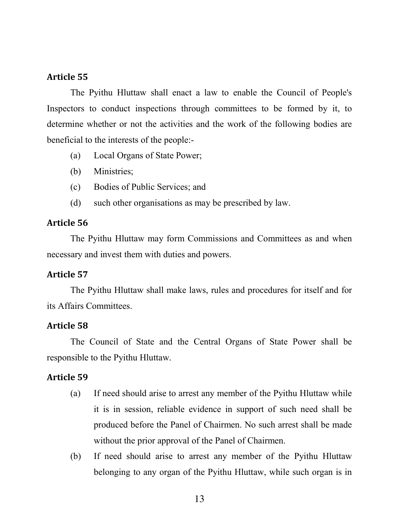The Pyithu Hluttaw shall enact a law to enable the Council of People's Inspectors to conduct inspections through committees to be formed by it, to determine whether or not the activities and the work of the following bodies are beneficial to the interests of the people:-

- (a) Local Organs of State Power;
- (b) Ministries;
- (c) Bodies of Public Services; and
- (d) such other organisations as may be prescribed by law.

#### Article 56

The Pyithu Hluttaw may form Commissions and Committees as and when necessary and invest them with duties and powers.

#### Article 57

The Pyithu Hluttaw shall make laws, rules and procedures for itself and for its Affairs Committees.

#### Article 58

The Council of State and the Central Organs of State Power shall be responsible to the Pyithu Hluttaw.

- (a) If need should arise to arrest any member of the Pyithu Hluttaw while it is in session, reliable evidence in support of such need shall be produced before the Panel of Chairmen. No such arrest shall be made without the prior approval of the Panel of Chairmen.
- (b) If need should arise to arrest any member of the Pyithu Hluttaw belonging to any organ of the Pyithu Hluttaw, while such organ is in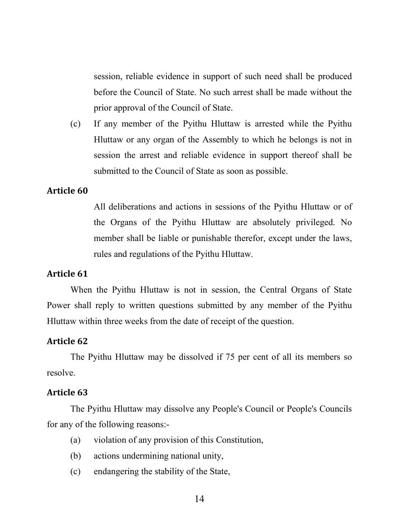session, reliable evidence in support of such need shall be produced before the Council of State. No such arrest shall be made without the prior approval of the Council of State.

(c) If any member of the Pyithu Hluttaw is arrested while the Pyithu Hluttaw or any organ of the Assembly to which he belongs is not in session the arrest and reliable evidence in support thereof shall be submitted to the Council of State as soon as possible.

### Article 60

All deliberations and actions in sessions of the Pyithu Hluttaw or of the Organs of the Pyithu Hluttaw are absolutely privileged. No member shall be liable or punishable therefor, except under the laws, rules and regulations of the Pyithu Hluttaw.

## Article 61

When the Pyithu Hluttaw is not in session, the Central Organs of State Power shall reply to written questions submitted by any member of the Pyithu Hluttaw within three weeks from the date of receipt of the question.

#### Article 62

The Pyithu Hluttaw may be dissolved if 75 per cent of all its members so resolve.

#### Article 63

The Pyithu Hluttaw may dissolve any People's Council or People's Councils for any of the following reasons:-

- (a) violation of any provision of this Constitution,
- (b) actions undermining national unity,
- (c) endangering the stability of the State,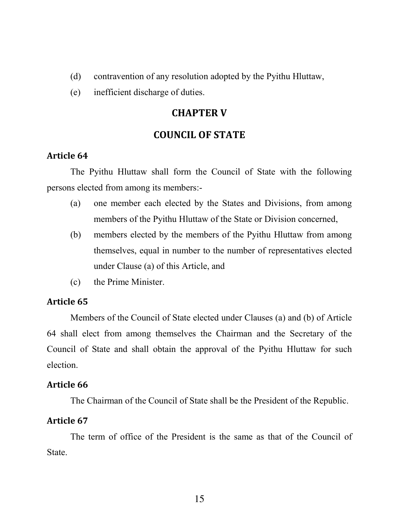- (d) contravention of any resolution adopted by the Pyithu Hluttaw,
- (e) inefficient discharge of duties.

## CHAPTER V

## COUNCIL OF STATE

### Article 64

The Pyithu Hluttaw shall form the Council of State with the following persons elected from among its members:-

- (a) one member each elected by the States and Divisions, from among members of the Pyithu Hluttaw of the State or Division concerned,
- (b) members elected by the members of the Pyithu Hluttaw from among themselves, equal in number to the number of representatives elected under Clause (a) of this Article, and
- (c) the Prime Minister.

## Article 65

Members of the Council of State elected under Clauses (a) and (b) of Article 64 shall elect from among themselves the Chairman and the Secretary of the Council of State and shall obtain the approval of the Pyithu Hluttaw for such election.

### Article 66

The Chairman of the Council of State shall be the President of the Republic.

### Article 67

The term of office of the President is the same as that of the Council of State.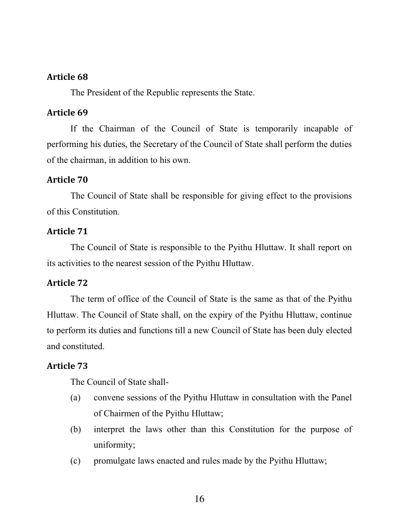The President of the Republic represents the State.

### Article 69

If the Chairman of the Council of State is temporarily incapable of performing his duties, the Secretary of the Council of State shall perform the duties of the chairman, in addition to his own.

## Article 70

The Council of State shall be responsible for giving effect to the provisions of this Constitution.

## Article 71

The Council of State is responsible to the Pyithu Hluttaw. It shall report on its activities to the nearest session of the Pyithu Hluttaw.

## Article 72

The term of office of the Council of State is the same as that of the Pyithu Hluttaw. The Council of State shall, on the expiry of the Pyithu Hluttaw, continue to perform its duties and functions till a new Council of State has been duly elected and constituted.

## Article 73

The Council of State shall-

- (a) convene sessions of the Pyithu Hluttaw in consultation with the Panel of Chairmen of the Pyithu Hluttaw;
- (b) interpret the laws other than this Constitution for the purpose of uniformity;
- (c) promulgate laws enacted and rules made by the Pyithu Hluttaw;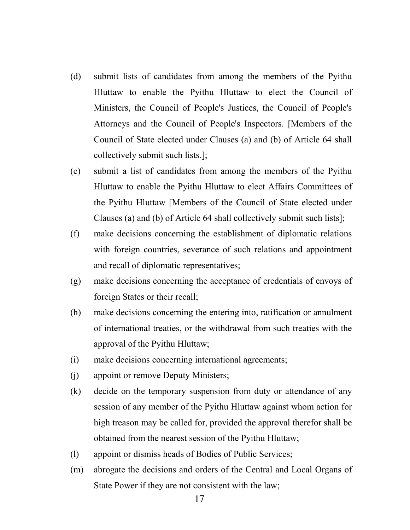- (d) submit lists of candidates from among the members of the Pyithu Hluttaw to enable the Pyithu Hluttaw to elect the Council of Ministers, the Council of People's Justices, the Council of People's Attorneys and the Council of People's Inspectors. [Members of the Council of State elected under Clauses (a) and (b) of Article 64 shall collectively submit such lists.];
- (e) submit a list of candidates from among the members of the Pyithu Hluttaw to enable the Pyithu Hluttaw to elect Affairs Committees of the Pyithu Hluttaw [Members of the Council of State elected under Clauses (a) and (b) of Article 64 shall collectively submit such lists];
- (f) make decisions concerning the establishment of diplomatic relations with foreign countries, severance of such relations and appointment and recall of diplomatic representatives;
- (g) make decisions concerning the acceptance of credentials of envoys of foreign States or their recall;
- (h) make decisions concerning the entering into, ratification or annulment of international treaties, or the withdrawal from such treaties with the approval of the Pyithu Hluttaw;
- (i) make decisions concerning international agreements;
- (j) appoint or remove Deputy Ministers;
- (k) decide on the temporary suspension from duty or attendance of any session of any member of the Pyithu Hluttaw against whom action for high treason may be called for, provided the approval therefor shall be obtained from the nearest session of the Pyithu Hluttaw;
- (l) appoint or dismiss heads of Bodies of Public Services;
- (m) abrogate the decisions and orders of the Central and Local Organs of State Power if they are not consistent with the law;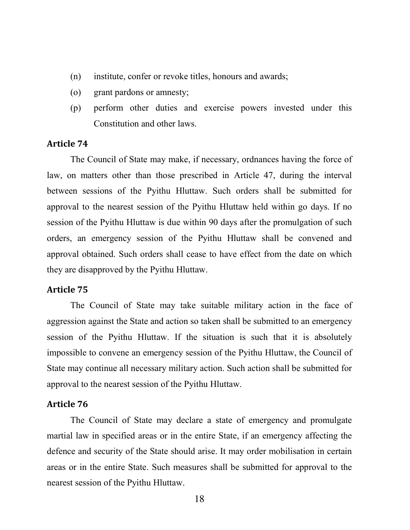- (n) institute, confer or revoke titles, honours and awards;
- (o) grant pardons or amnesty;
- (p) perform other duties and exercise powers invested under this Constitution and other laws.

The Council of State may make, if necessary, ordnances having the force of law, on matters other than those prescribed in Article 47, during the interval between sessions of the Pyithu Hluttaw. Such orders shall be submitted for approval to the nearest session of the Pyithu Hluttaw held within go days. If no session of the Pyithu Hluttaw is due within 90 days after the promulgation of such orders, an emergency session of the Pyithu Hluttaw shall be convened and approval obtained. Such orders shall cease to have effect from the date on which they are disapproved by the Pyithu Hluttaw.

#### Article 75

The Council of State may take suitable military action in the face of aggression against the State and action so taken shall be submitted to an emergency session of the Pyithu Hluttaw. If the situation is such that it is absolutely impossible to convene an emergency session of the Pyithu Hluttaw, the Council of State may continue all necessary military action. Such action shall be submitted for approval to the nearest session of the Pyithu Hluttaw.

#### Article 76

The Council of State may declare a state of emergency and promulgate martial law in specified areas or in the entire State, if an emergency affecting the defence and security of the State should arise. It may order mobilisation in certain areas or in the entire State. Such measures shall be submitted for approval to the nearest session of the Pyithu Hluttaw.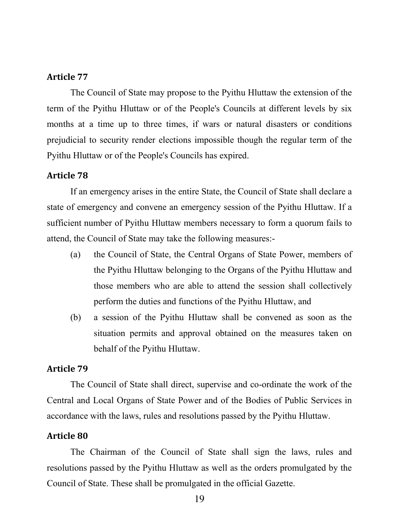The Council of State may propose to the Pyithu Hluttaw the extension of the term of the Pyithu Hluttaw or of the People's Councils at different levels by six months at a time up to three times, if wars or natural disasters or conditions prejudicial to security render elections impossible though the regular term of the Pyithu Hluttaw or of the People's Councils has expired.

#### Article 78

If an emergency arises in the entire State, the Council of State shall declare a state of emergency and convene an emergency session of the Pyithu Hluttaw. If a sufficient number of Pyithu Hluttaw members necessary to form a quorum fails to attend, the Council of State may take the following measures:-

- (a) the Council of State, the Central Organs of State Power, members of the Pyithu Hluttaw belonging to the Organs of the Pyithu Hluttaw and those members who are able to attend the session shall collectively perform the duties and functions of the Pyithu Hluttaw, and
- (b) a session of the Pyithu Hluttaw shall be convened as soon as the situation permits and approval obtained on the measures taken on behalf of the Pyithu Hluttaw.

### Article 79

The Council of State shall direct, supervise and co-ordinate the work of the Central and Local Organs of State Power and of the Bodies of Public Services in accordance with the laws, rules and resolutions passed by the Pyithu Hluttaw.

#### Article 80

The Chairman of the Council of State shall sign the laws, rules and resolutions passed by the Pyithu Hluttaw as well as the orders promulgated by the Council of State. These shall be promulgated in the official Gazette.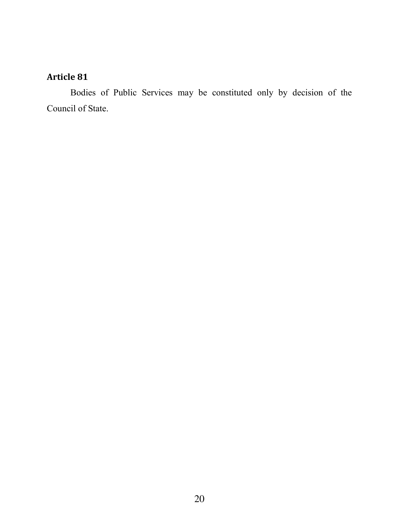Bodies of Public Services may be constituted only by decision of the Council of State.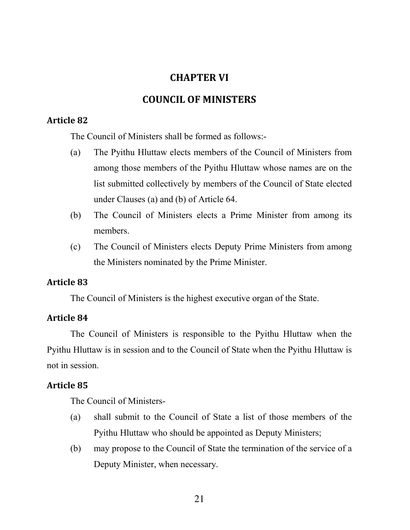## CHAPTER VI

## COUNCIL OF MINISTERS

## Article 82

The Council of Ministers shall be formed as follows:-

- (a) The Pyithu Hluttaw elects members of the Council of Ministers from among those members of the Pyithu Hluttaw whose names are on the list submitted collectively by members of the Council of State elected under Clauses (a) and (b) of Article 64.
- (b) The Council of Ministers elects a Prime Minister from among its members.
- (c) The Council of Ministers elects Deputy Prime Ministers from among the Ministers nominated by the Prime Minister.

## Article 83

The Council of Ministers is the highest executive organ of the State.

## Article 84

The Council of Ministers is responsible to the Pyithu Hluttaw when the Pyithu Hluttaw is in session and to the Council of State when the Pyithu Hluttaw is not in session.

## Article 85

The Council of Ministers-

- (a) shall submit to the Council of State a list of those members of the Pyithu Hluttaw who should be appointed as Deputy Ministers;
- (b) may propose to the Council of State the termination of the service of a Deputy Minister, when necessary.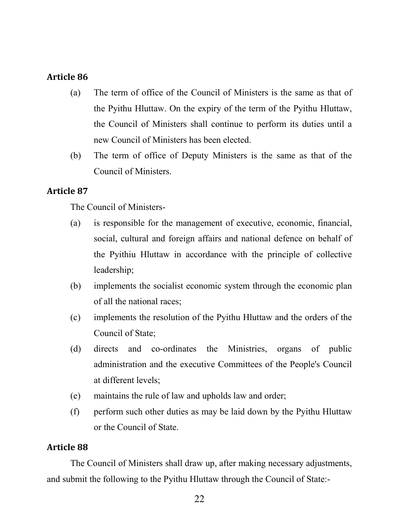- (a) The term of office of the Council of Ministers is the same as that of the Pyithu Hluttaw. On the expiry of the term of the Pyithu Hluttaw, the Council of Ministers shall continue to perform its duties until a new Council of Ministers has been elected.
- (b) The term of office of Deputy Ministers is the same as that of the Council of Ministers.

## Article 87

The Council of Ministers-

- (a) is responsible for the management of executive, economic, financial, social, cultural and foreign affairs and national defence on behalf of the Pyithiu Hluttaw in accordance with the principle of collective leadership;
- (b) implements the socialist economic system through the economic plan of all the national races;
- (c) implements the resolution of the Pyithu Hluttaw and the orders of the Council of State;
- (d) directs and co-ordinates the Ministries, organs of public administration and the executive Committees of the People's Council at different levels;
- (e) maintains the rule of law and upholds law and order;
- (f) perform such other duties as may be laid down by the Pyithu Hluttaw or the Council of State.

## Article 88

The Council of Ministers shall draw up, after making necessary adjustments, and submit the following to the Pyithu Hluttaw through the Council of State:-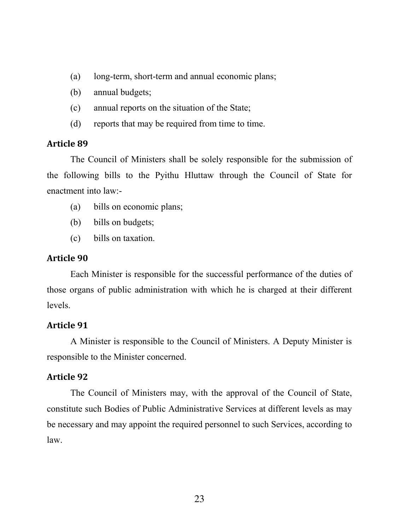- (a) long-term, short-term and annual economic plans;
- (b) annual budgets;
- (c) annual reports on the situation of the State;
- (d) reports that may be required from time to time.

The Council of Ministers shall be solely responsible for the submission of the following bills to the Pyithu Hluttaw through the Council of State for enactment into law:-

- (a) bills on economic plans;
- (b) bills on budgets;
- (c) bills on taxation.

#### Article 90

Each Minister is responsible for the successful performance of the duties of those organs of public administration with which he is charged at their different levels.

#### Article 91

A Minister is responsible to the Council of Ministers. A Deputy Minister is responsible to the Minister concerned.

#### Article 92

The Council of Ministers may, with the approval of the Council of State, constitute such Bodies of Public Administrative Services at different levels as may be necessary and may appoint the required personnel to such Services, according to law.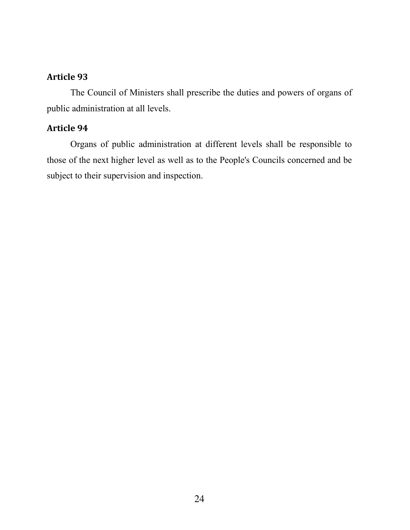The Council of Ministers shall prescribe the duties and powers of organs of public administration at all levels.

## Article 94

Organs of public administration at different levels shall be responsible to those of the next higher level as well as to the People's Councils concerned and be subject to their supervision and inspection.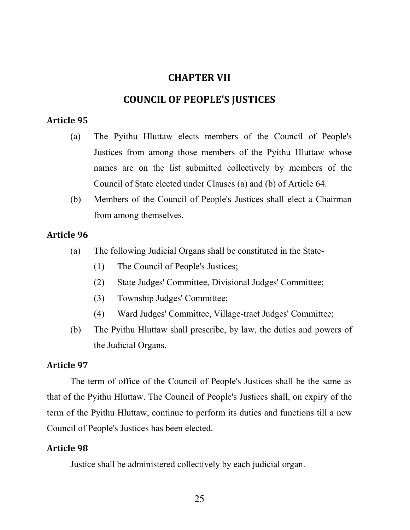## CHAPTER VII

## COUNCIL OF PEOPLE'S JUSTICES

## Article 95

- (a) The Pyithu Hluttaw elects members of the Council of People's Justices from among those members of the Pyithu Hluttaw whose names are on the list submitted collectively by members of the Council of State elected under Clauses (a) and (b) of Article 64.
- (b) Members of the Council of People's Justices shall elect a Chairman from among themselves.

## Article 96

- (a) The following Judicial Organs shall be constituted in the State-
	- (1) The Council of People's Justices;
	- (2) State Judges' Committee, Divisional Judges' Committee;
	- (3) Township Judges' Committee;
	- (4) Ward Judges' Committee, Village-tract Judges' Committee;
- (b) The Pyithu Hluttaw shall prescribe, by law, the duties and powers of the Judicial Organs.

## Article 97

The term of office of the Council of People's Justices shall be the same as that of the Pyithu Hluttaw. The Council of People's Justices shall, on expiry of the term of the Pyithu Hluttaw, continue to perform its duties and functions till a new Council of People's Justices has been elected.

## Article 98

Justice shall be administered collectively by each judicial organ.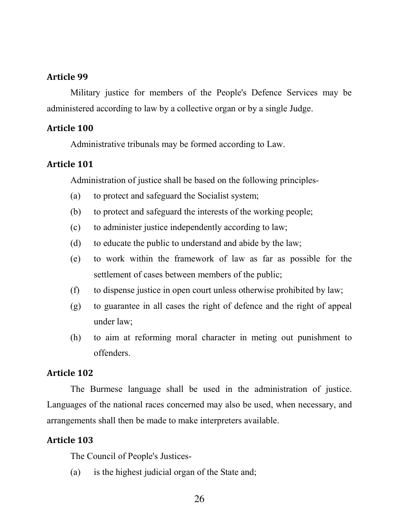Military justice for members of the People's Defence Services may be administered according to law by a collective organ or by a single Judge.

#### Article 100

Administrative tribunals may be formed according to Law.

## Article 101

Administration of justice shall be based on the following principles-

- (a) to protect and safeguard the Socialist system;
- (b) to protect and safeguard the interests of the working people;
- (c) to administer justice independently according to law;
- (d) to educate the public to understand and abide by the law;
- (e) to work within the framework of law as far as possible for the settlement of cases between members of the public;
- (f) to dispense justice in open court unless otherwise prohibited by law;
- (g) to guarantee in all cases the right of defence and the right of appeal under law;
- (h) to aim at reforming moral character in meting out punishment to offenders.

## Article 102

The Burmese language shall be used in the administration of justice. Languages of the national races concerned may also be used, when necessary, and arrangements shall then be made to make interpreters available.

#### Article 103

The Council of People's Justices-

(a) is the highest judicial organ of the State and;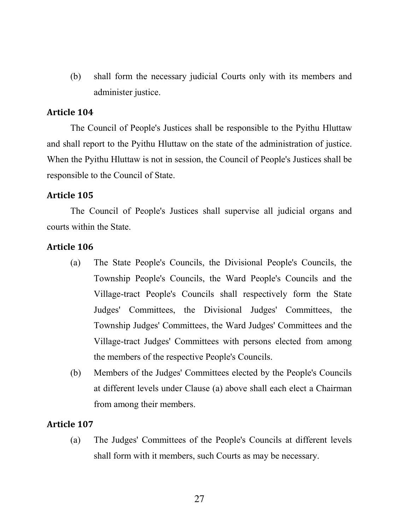(b) shall form the necessary judicial Courts only with its members and administer justice.

### Article 104

The Council of People's Justices shall be responsible to the Pyithu Hluttaw and shall report to the Pyithu Hluttaw on the state of the administration of justice. When the Pyithu Hluttaw is not in session, the Council of People's Justices shall be responsible to the Council of State.

#### Article 105

The Council of People's Justices shall supervise all judicial organs and courts within the State.

#### Article 106

- (a) The State People's Councils, the Divisional People's Councils, the Township People's Councils, the Ward People's Councils and the Village-tract People's Councils shall respectively form the State Judges' Committees, the Divisional Judges' Committees, the Township Judges' Committees, the Ward Judges' Committees and the Village-tract Judges' Committees with persons elected from among the members of the respective People's Councils.
- (b) Members of the Judges' Committees elected by the People's Councils at different levels under Clause (a) above shall each elect a Chairman from among their members.

#### Article 107

(a) The Judges' Committees of the People's Councils at different levels shall form with it members, such Courts as may be necessary.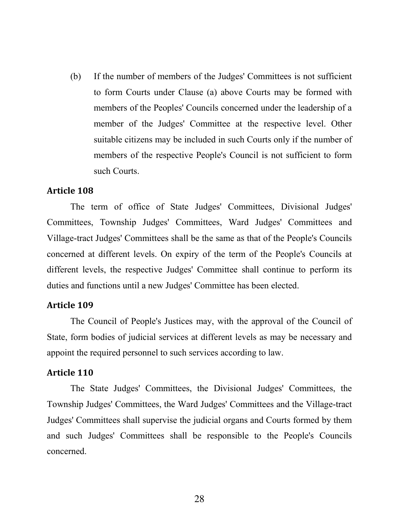(b) If the number of members of the Judges' Committees is not sufficient to form Courts under Clause (a) above Courts may be formed with members of the Peoples' Councils concerned under the leadership of a member of the Judges' Committee at the respective level. Other suitable citizens may be included in such Courts only if the number of members of the respective People's Council is not sufficient to form such Courts.

#### Article 108

The term of office of State Judges' Committees, Divisional Judges' Committees, Township Judges' Committees, Ward Judges' Committees and Village-tract Judges' Committees shall be the same as that of the People's Councils concerned at different levels. On expiry of the term of the People's Councils at different levels, the respective Judges' Committee shall continue to perform its duties and functions until a new Judges' Committee has been elected.

#### Article 109

The Council of People's Justices may, with the approval of the Council of State, form bodies of judicial services at different levels as may be necessary and appoint the required personnel to such services according to law.

#### Article 110

The State Judges' Committees, the Divisional Judges' Committees, the Township Judges' Committees, the Ward Judges' Committees and the Village-tract Judges' Committees shall supervise the judicial organs and Courts formed by them and such Judges' Committees shall be responsible to the People's Councils concerned.

28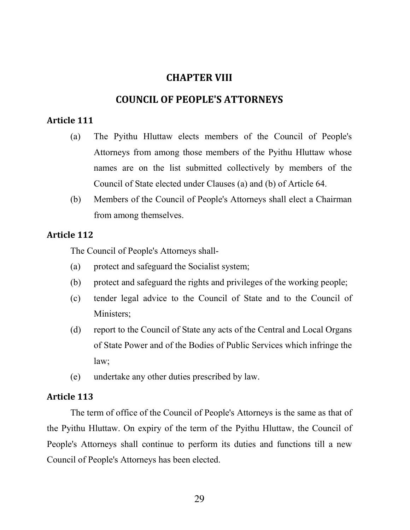## CHAPTER VIII

## COUNCIL OF PEOPLE'S ATTORNEYS

#### Article 111

- (a) The Pyithu Hluttaw elects members of the Council of People's Attorneys from among those members of the Pyithu Hluttaw whose names are on the list submitted collectively by members of the Council of State elected under Clauses (a) and (b) of Article 64.
- (b) Members of the Council of People's Attorneys shall elect a Chairman from among themselves.

### Article 112

The Council of People's Attorneys shall-

- (a) protect and safeguard the Socialist system;
- (b) protect and safeguard the rights and privileges of the working people;
- (c) tender legal advice to the Council of State and to the Council of Ministers;
- (d) report to the Council of State any acts of the Central and Local Organs of State Power and of the Bodies of Public Services which infringe the law;
- (e) undertake any other duties prescribed by law.

#### Article 113

The term of office of the Council of People's Attorneys is the same as that of the Pyithu Hluttaw. On expiry of the term of the Pyithu Hluttaw, the Council of People's Attorneys shall continue to perform its duties and functions till a new Council of People's Attorneys has been elected.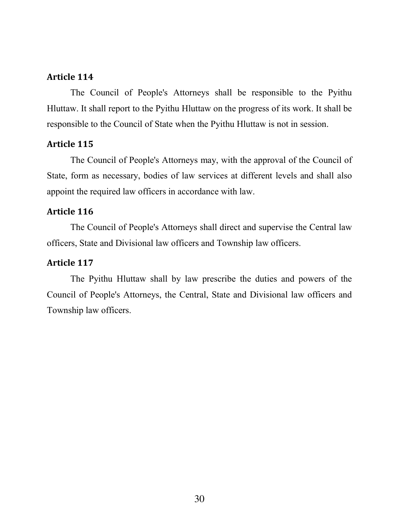The Council of People's Attorneys shall be responsible to the Pyithu Hluttaw. It shall report to the Pyithu Hluttaw on the progress of its work. It shall be responsible to the Council of State when the Pyithu Hluttaw is not in session.

### Article 115

The Council of People's Attorneys may, with the approval of the Council of State, form as necessary, bodies of law services at different levels and shall also appoint the required law officers in accordance with law.

### Article 116

The Council of People's Attorneys shall direct and supervise the Central law officers, State and Divisional law officers and Township law officers.

### Article 117

The Pyithu Hluttaw shall by law prescribe the duties and powers of the Council of People's Attorneys, the Central, State and Divisional law officers and Township law officers.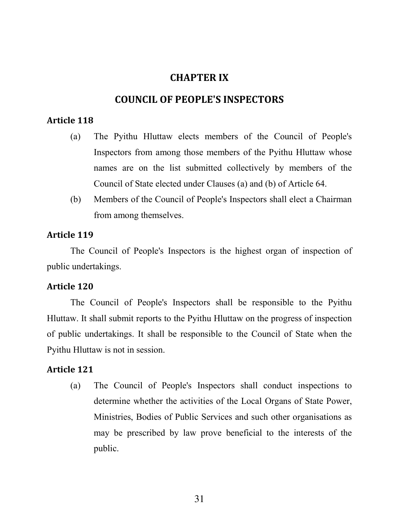## CHAPTER IX

## COUNCIL OF PEOPLE'S INSPECTORS

## Article 118

- (a) The Pyithu Hluttaw elects members of the Council of People's Inspectors from among those members of the Pyithu Hluttaw whose names are on the list submitted collectively by members of the Council of State elected under Clauses (a) and (b) of Article 64.
- (b) Members of the Council of People's Inspectors shall elect a Chairman from among themselves.

### Article 119

The Council of People's Inspectors is the highest organ of inspection of public undertakings.

## Article 120

The Council of People's Inspectors shall be responsible to the Pyithu Hluttaw. It shall submit reports to the Pyithu Hluttaw on the progress of inspection of public undertakings. It shall be responsible to the Council of State when the Pyithu Hluttaw is not in session.

### Article 121

(a) The Council of People's Inspectors shall conduct inspections to determine whether the activities of the Local Organs of State Power, Ministries, Bodies of Public Services and such other organisations as may be prescribed by law prove beneficial to the interests of the public.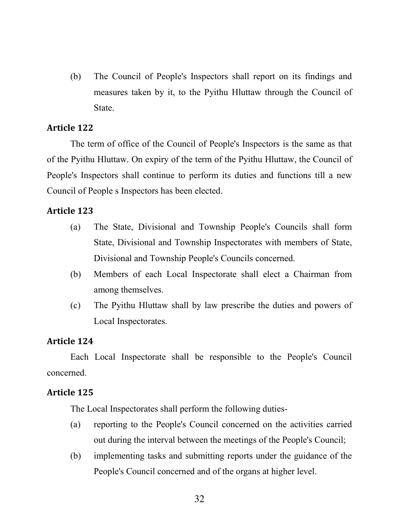(b) The Council of People's Inspectors shall report on its findings and measures taken by it, to the Pyithu Hluttaw through the Council of State.

### Article 122

The term of office of the Council of People's Inspectors is the same as that of the Pyithu Hluttaw. On expiry of the term of the Pyithu Hluttaw, the Council of People's Inspectors shall continue to perform its duties and functions till a new Council of People s Inspectors has been elected.

## Article 123

- (a) The State, Divisional and Township People's Councils shall form State, Divisional and Township Inspectorates with members of State, Divisional and Township People's Councils concerned.
- (b) Members of each Local Inspectorate shall elect a Chairman from among themselves.
- (c) The Pyithu Hluttaw shall by law prescribe the duties and powers of Local Inspectorates.

## Article 124

Each Local Inspectorate shall be responsible to the People's Council concerned.

## Article 125

The Local Inspectorates shall perform the following duties-

- (a) reporting to the People's Council concerned on the activities carried out during the interval between the meetings of the People's Council;
- (b) implementing tasks and submitting reports under the guidance of the People's Council concerned and of the organs at higher level.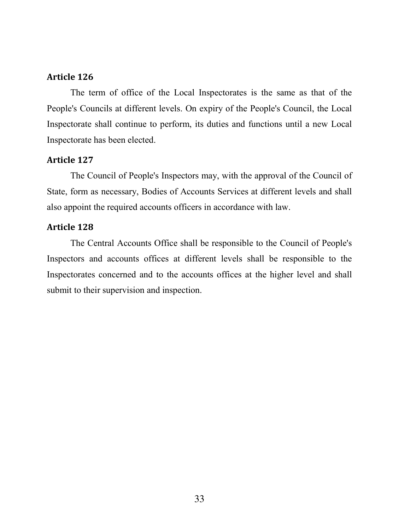The term of office of the Local Inspectorates is the same as that of the People's Councils at different levels. On expiry of the People's Council, the Local Inspectorate shall continue to perform, its duties and functions until a new Local Inspectorate has been elected.

#### Article 127

The Council of People's Inspectors may, with the approval of the Council of State, form as necessary, Bodies of Accounts Services at different levels and shall also appoint the required accounts officers in accordance with law.

#### Article 128

The Central Accounts Office shall be responsible to the Council of People's Inspectors and accounts offices at different levels shall be responsible to the Inspectorates concerned and to the accounts offices at the higher level and shall submit to their supervision and inspection.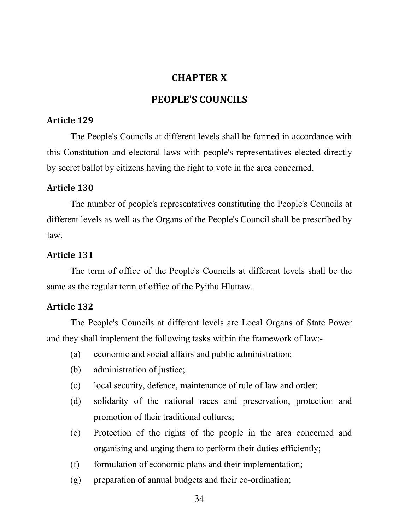## CHAPTER X

## PEOPLE'S COUNCILS

### Article 129

The People's Councils at different levels shall be formed in accordance with this Constitution and electoral laws with people's representatives elected directly by secret ballot by citizens having the right to vote in the area concerned.

## Article 130

The number of people's representatives constituting the People's Councils at different levels as well as the Organs of the People's Council shall be prescribed by law.

### Article 131

The term of office of the People's Councils at different levels shall be the same as the regular term of office of the Pyithu Hluttaw.

## Article 132

The People's Councils at different levels are Local Organs of State Power and they shall implement the following tasks within the framework of law:-

- (a) economic and social affairs and public administration;
- (b) administration of justice;
- (c) local security, defence, maintenance of rule of law and order;
- (d) solidarity of the national races and preservation, protection and promotion of their traditional cultures;
- (e) Protection of the rights of the people in the area concerned and organising and urging them to perform their duties efficiently;
- (f) formulation of economic plans and their implementation;
- (g) preparation of annual budgets and their co-ordination;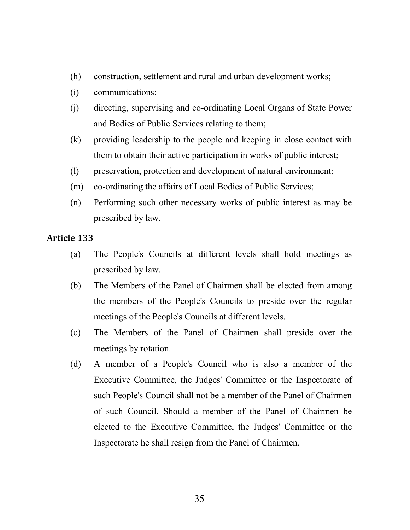- (h) construction, settlement and rural and urban development works;
- (i) communications;
- (j) directing, supervising and co-ordinating Local Organs of State Power and Bodies of Public Services relating to them;
- (k) providing leadership to the people and keeping in close contact with them to obtain their active participation in works of public interest;
- (l) preservation, protection and development of natural environment;
- (m) co-ordinating the affairs of Local Bodies of Public Services;
- (n) Performing such other necessary works of public interest as may be prescribed by law.

- (a) The People's Councils at different levels shall hold meetings as prescribed by law.
- (b) The Members of the Panel of Chairmen shall be elected from among the members of the People's Councils to preside over the regular meetings of the People's Councils at different levels.
- (c) The Members of the Panel of Chairmen shall preside over the meetings by rotation.
- (d) A member of a People's Council who is also a member of the Executive Committee, the Judges' Committee or the Inspectorate of such People's Council shall not be a member of the Panel of Chairmen of such Council. Should a member of the Panel of Chairmen be elected to the Executive Committee, the Judges' Committee or the Inspectorate he shall resign from the Panel of Chairmen.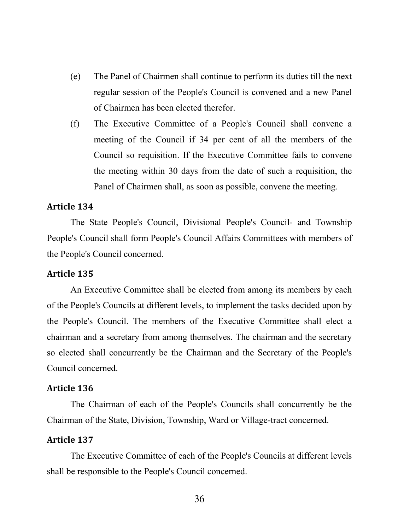- (e) The Panel of Chairmen shall continue to perform its duties till the next regular session of the People's Council is convened and a new Panel of Chairmen has been elected therefor.
- (f) The Executive Committee of a People's Council shall convene a meeting of the Council if 34 per cent of all the members of the Council so requisition. If the Executive Committee fails to convene the meeting within 30 days from the date of such a requisition, the Panel of Chairmen shall, as soon as possible, convene the meeting.

The State People's Council, Divisional People's Council- and Township People's Council shall form People's Council Affairs Committees with members of the People's Council concerned.

#### Article 135

An Executive Committee shall be elected from among its members by each of the People's Councils at different levels, to implement the tasks decided upon by the People's Council. The members of the Executive Committee shall elect a chairman and a secretary from among themselves. The chairman and the secretary so elected shall concurrently be the Chairman and the Secretary of the People's Council concerned.

#### Article 136

The Chairman of each of the People's Councils shall concurrently be the Chairman of the State, Division, Township, Ward or Village-tract concerned.

#### Article 137

The Executive Committee of each of the People's Councils at different levels shall be responsible to the People's Council concerned.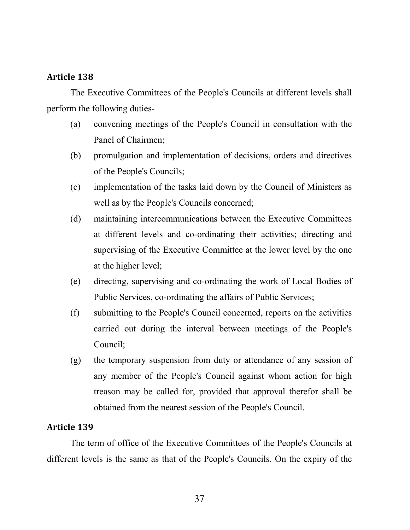The Executive Committees of the People's Councils at different levels shall perform the following duties-

- (a) convening meetings of the People's Council in consultation with the Panel of Chairmen;
- (b) promulgation and implementation of decisions, orders and directives of the People's Councils;
- (c) implementation of the tasks laid down by the Council of Ministers as well as by the People's Councils concerned;
- (d) maintaining intercommunications between the Executive Committees at different levels and co-ordinating their activities; directing and supervising of the Executive Committee at the lower level by the one at the higher level;
- (e) directing, supervising and co-ordinating the work of Local Bodies of Public Services, co-ordinating the affairs of Public Services;
- (f) submitting to the People's Council concerned, reports on the activities carried out during the interval between meetings of the People's Council;
- (g) the temporary suspension from duty or attendance of any session of any member of the People's Council against whom action for high treason may be called for, provided that approval therefor shall be obtained from the nearest session of the People's Council.

## Article 139

The term of office of the Executive Committees of the People's Councils at different levels is the same as that of the People's Councils. On the expiry of the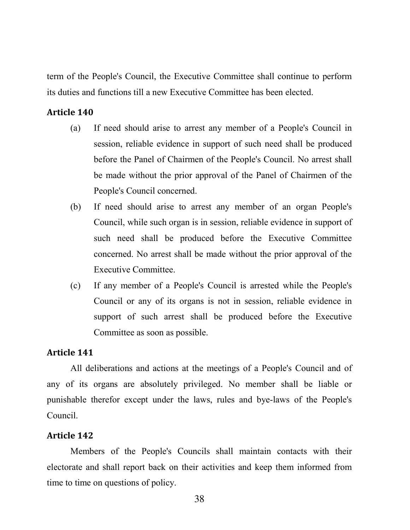term of the People's Council, the Executive Committee shall continue to perform its duties and functions till a new Executive Committee has been elected.

#### Article 140

- (a) If need should arise to arrest any member of a People's Council in session, reliable evidence in support of such need shall be produced before the Panel of Chairmen of the People's Council. No arrest shall be made without the prior approval of the Panel of Chairmen of the People's Council concerned.
- (b) If need should arise to arrest any member of an organ People's Council, while such organ is in session, reliable evidence in support of such need shall be produced before the Executive Committee concerned. No arrest shall be made without the prior approval of the Executive Committee.
- (c) If any member of a People's Council is arrested while the People's Council or any of its organs is not in session, reliable evidence in support of such arrest shall be produced before the Executive Committee as soon as possible.

#### Article 141

All deliberations and actions at the meetings of a People's Council and of any of its organs are absolutely privileged. No member shall be liable or punishable therefor except under the laws, rules and bye-laws of the People's Council.

#### Article 142

Members of the People's Councils shall maintain contacts with their electorate and shall report back on their activities and keep them informed from time to time on questions of policy.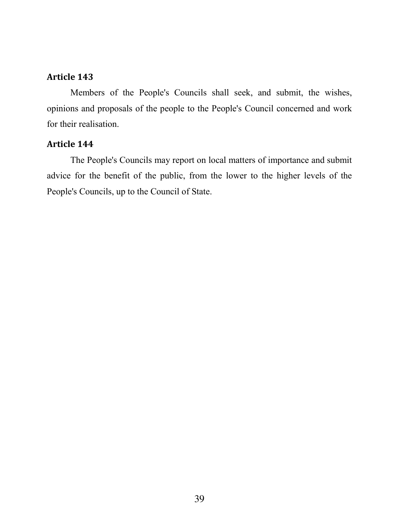Members of the People's Councils shall seek, and submit, the wishes, opinions and proposals of the people to the People's Council concerned and work for their realisation.

#### Article 144

The People's Councils may report on local matters of importance and submit advice for the benefit of the public, from the lower to the higher levels of the People's Councils, up to the Council of State.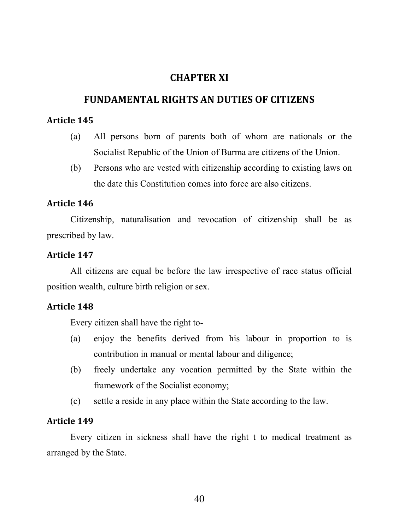## CHAPTER XI

## FUNDAMENTAL RIGHTS AN DUTIES OF CITIZENS

### Article 145

- (a) All persons born of parents both of whom are nationals or the Socialist Republic of the Union of Burma are citizens of the Union.
- (b) Persons who are vested with citizenship according to existing laws on the date this Constitution comes into force are also citizens.

### Article 146

Citizenship, naturalisation and revocation of citizenship shall be as prescribed by law.

### Article 147

All citizens are equal be before the law irrespective of race status official position wealth, culture birth religion or sex.

### Article 148

Every citizen shall have the right to-

- (a) enjoy the benefits derived from his labour in proportion to is contribution in manual or mental labour and diligence;
- (b) freely undertake any vocation permitted by the State within the framework of the Socialist economy;
- (c) settle a reside in any place within the State according to the law.

### Article 149

Every citizen in sickness shall have the right t to medical treatment as arranged by the State.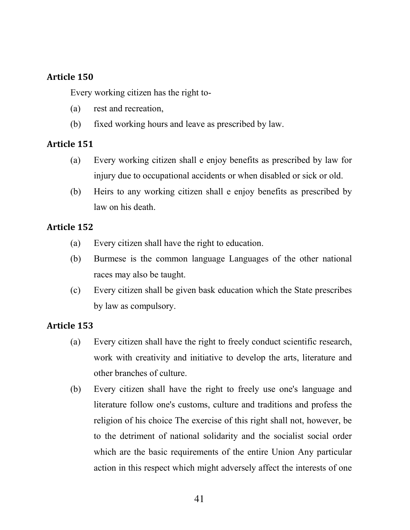Every working citizen has the right to-

- (a) rest and recreation,
- (b) fixed working hours and leave as prescribed by law.

## Article 151

- (a) Every working citizen shall e enjoy benefits as prescribed by law for injury due to occupational accidents or when disabled or sick or old.
- (b) Heirs to any working citizen shall e enjoy benefits as prescribed by law on his death.

## Article 152

- (a) Every citizen shall have the right to education.
- (b) Burmese is the common language Languages of the other national races may also be taught.
- (c) Every citizen shall be given bask education which the State prescribes by law as compulsory.

- (a) Every citizen shall have the right to freely conduct scientific research, work with creativity and initiative to develop the arts, literature and other branches of culture.
- (b) Every citizen shall have the right to freely use one's language and literature follow one's customs, culture and traditions and profess the religion of his choice The exercise of this right shall not, however, be to the detriment of national solidarity and the socialist social order which are the basic requirements of the entire Union Any particular action in this respect which might adversely affect the interests of one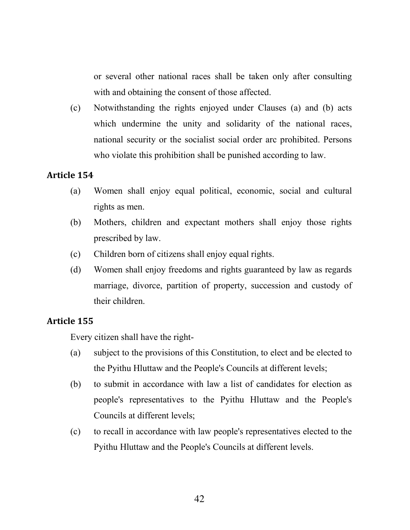or several other national races shall be taken only after consulting with and obtaining the consent of those affected.

(c) Notwithstanding the rights enjoyed under Clauses (a) and (b) acts which undermine the unity and solidarity of the national races, national security or the socialist social order arc prohibited. Persons who violate this prohibition shall be punished according to law.

### Article 154

- (a) Women shall enjoy equal political, economic, social and cultural rights as men.
- (b) Mothers, children and expectant mothers shall enjoy those rights prescribed by law.
- (c) Children born of citizens shall enjoy equal rights.
- (d) Women shall enjoy freedoms and rights guaranteed by law as regards marriage, divorce, partition of property, succession and custody of their children.

## Article 155

Every citizen shall have the right-

- (a) subject to the provisions of this Constitution, to elect and be elected to the Pyithu Hluttaw and the People's Councils at different levels;
- (b) to submit in accordance with law a list of candidates for election as people's representatives to the Pyithu Hluttaw and the People's Councils at different levels;
- (c) to recall in accordance with law people's representatives elected to the Pyithu Hluttaw and the People's Councils at different levels.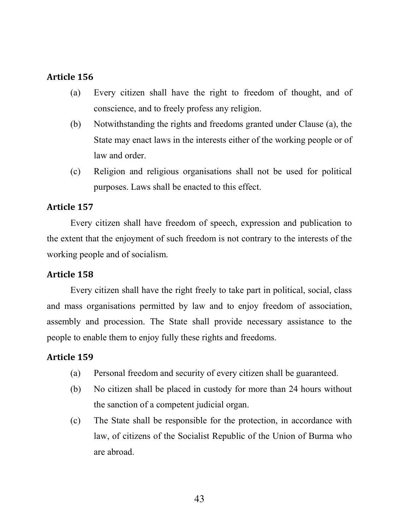- (a) Every citizen shall have the right to freedom of thought, and of conscience, and to freely profess any religion.
- (b) Notwithstanding the rights and freedoms granted under Clause (a), the State may enact laws in the interests either of the working people or of law and order.
- (c) Religion and religious organisations shall not be used for political purposes. Laws shall be enacted to this effect.

## Article 157

Every citizen shall have freedom of speech, expression and publication to the extent that the enjoyment of such freedom is not contrary to the interests of the working people and of socialism.

## Article 158

Every citizen shall have the right freely to take part in political, social, class and mass organisations permitted by law and to enjoy freedom of association, assembly and procession. The State shall provide necessary assistance to the people to enable them to enjoy fully these rights and freedoms.

- (a) Personal freedom and security of every citizen shall be guaranteed.
- (b) No citizen shall be placed in custody for more than 24 hours without the sanction of a competent judicial organ.
- (c) The State shall be responsible for the protection, in accordance with law, of citizens of the Socialist Republic of the Union of Burma who are abroad.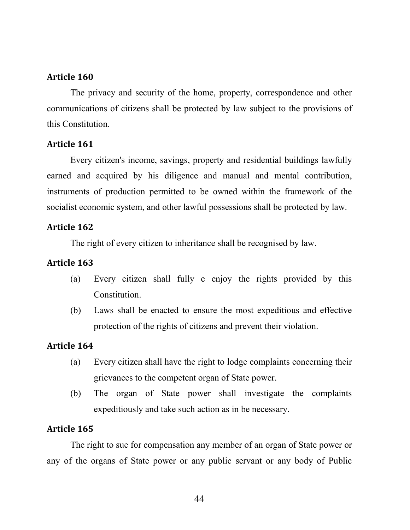The privacy and security of the home, property, correspondence and other communications of citizens shall be protected by law subject to the provisions of this Constitution.

### Article 161

Every citizen's income, savings, property and residential buildings lawfully earned and acquired by his diligence and manual and mental contribution, instruments of production permitted to be owned within the framework of the socialist economic system, and other lawful possessions shall be protected by law.

### Article 162

The right of every citizen to inheritance shall be recognised by law.

## Article 163

- (a) Every citizen shall fully e enjoy the rights provided by this Constitution.
- (b) Laws shall be enacted to ensure the most expeditious and effective protection of the rights of citizens and prevent their violation.

## Article 164

- (a) Every citizen shall have the right to lodge complaints concerning their grievances to the competent organ of State power.
- (b) The organ of State power shall investigate the complaints expeditiously and take such action as in be necessary.

## Article 165

The right to sue for compensation any member of an organ of State power or any of the organs of State power or any public servant or any body of Public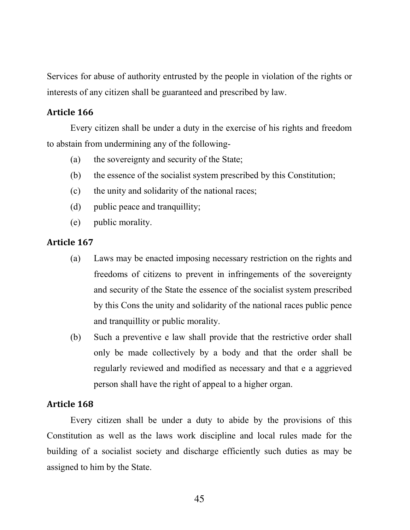Services for abuse of authority entrusted by the people in violation of the rights or interests of any citizen shall be guaranteed and prescribed by law.

### Article 166

Every citizen shall be under a duty in the exercise of his rights and freedom to abstain from undermining any of the following-

- (a) the sovereignty and security of the State;
- (b) the essence of the socialist system prescribed by this Constitution;
- (c) the unity and solidarity of the national races;
- (d) public peace and tranquillity;
- (e) public morality.

#### Article 167

- (a) Laws may be enacted imposing necessary restriction on the rights and freedoms of citizens to prevent in infringements of the sovereignty and security of the State the essence of the socialist system prescribed by this Cons the unity and solidarity of the national races public pence and tranquillity or public morality.
- (b) Such a preventive e law shall provide that the restrictive order shall only be made collectively by a body and that the order shall be regularly reviewed and modified as necessary and that e a aggrieved person shall have the right of appeal to a higher organ.

#### Article 168

Every citizen shall be under a duty to abide by the provisions of this Constitution as well as the laws work discipline and local rules made for the building of a socialist society and discharge efficiently such duties as may be assigned to him by the State.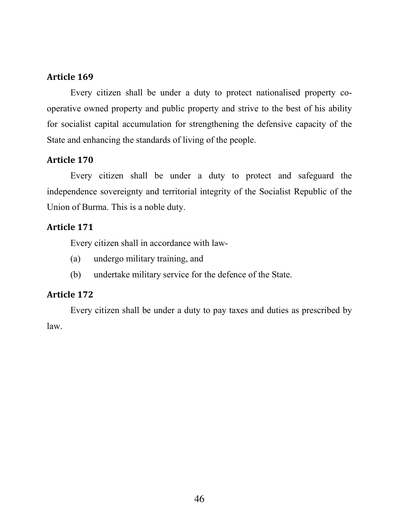Every citizen shall be under a duty to protect nationalised property cooperative owned property and public property and strive to the best of his ability for socialist capital accumulation for strengthening the defensive capacity of the State and enhancing the standards of living of the people.

## Article 170

Every citizen shall be under a duty to protect and safeguard the independence sovereignty and territorial integrity of the Socialist Republic of the Union of Burma. This is a noble duty.

## Article 171

Every citizen shall in accordance with law-

- (a) undergo military training, and
- (b) undertake military service for the defence of the State.

### Article 172

Every citizen shall be under a duty to pay taxes and duties as prescribed by law.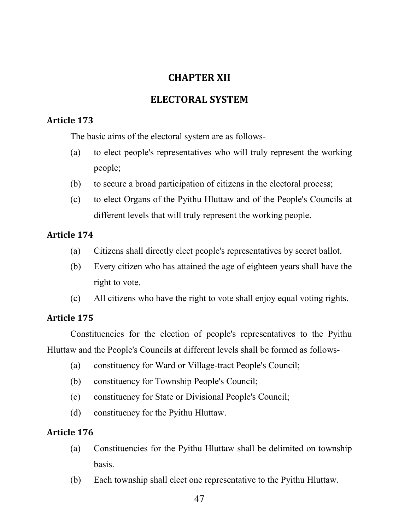## CHAPTER XII

## ELECTORAL SYSTEM

## Article 173

The basic aims of the electoral system are as follows-

- (a) to elect people's representatives who will truly represent the working people;
- (b) to secure a broad participation of citizens in the electoral process;
- (c) to elect Organs of the Pyithu Hluttaw and of the People's Councils at different levels that will truly represent the working people.

## Article 174

- (a) Citizens shall directly elect people's representatives by secret ballot.
- (b) Every citizen who has attained the age of eighteen years shall have the right to vote.
- (c) All citizens who have the right to vote shall enjoy equal voting rights.

## Article 175

Constituencies for the election of people's representatives to the Pyithu Hluttaw and the People's Councils at different levels shall be formed as follows-

- (a) constituency for Ward or Village-tract People's Council;
- (b) constituency for Township People's Council;
- (c) constituency for State or Divisional People's Council;
- (d) constituency for the Pyithu Hluttaw.

- (a) Constituencies for the Pyithu Hluttaw shall be delimited on township basis.
- (b) Each township shall elect one representative to the Pyithu Hluttaw.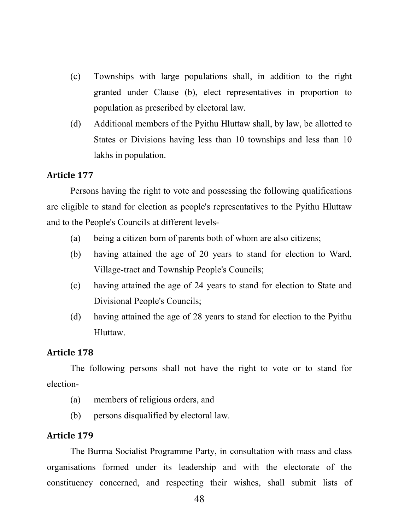- (c) Townships with large populations shall, in addition to the right granted under Clause (b), elect representatives in proportion to population as prescribed by electoral law.
- (d) Additional members of the Pyithu Hluttaw shall, by law, be allotted to States or Divisions having less than 10 townships and less than 10 lakhs in population.

Persons having the right to vote and possessing the following qualifications are eligible to stand for election as people's representatives to the Pyithu Hluttaw and to the People's Councils at different levels-

- (a) being a citizen born of parents both of whom are also citizens;
- (b) having attained the age of 20 years to stand for election to Ward, Village-tract and Township People's Councils;
- (c) having attained the age of 24 years to stand for election to State and Divisional People's Councils;
- (d) having attained the age of 28 years to stand for election to the Pyithu Hluttaw.

#### Article 178

The following persons shall not have the right to vote or to stand for election-

- (a) members of religious orders, and
- (b) persons disqualified by electoral law.

#### Article 179

The Burma Socialist Programme Party, in consultation with mass and class organisations formed under its leadership and with the electorate of the constituency concerned, and respecting their wishes, shall submit lists of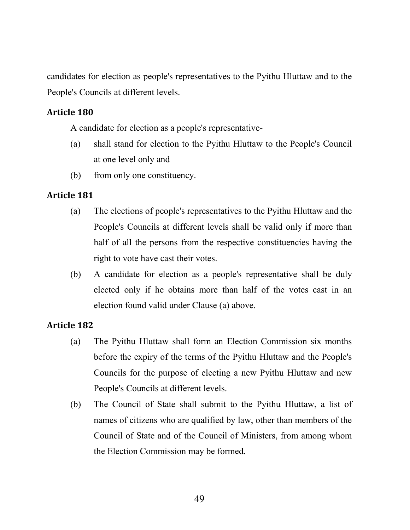candidates for election as people's representatives to the Pyithu Hluttaw and to the People's Councils at different levels.

### Article 180

A candidate for election as a people's representative-

- (a) shall stand for election to the Pyithu Hluttaw to the People's Council at one level only and
- (b) from only one constituency.

## Article 181

- (a) The elections of people's representatives to the Pyithu Hluttaw and the People's Councils at different levels shall be valid only if more than half of all the persons from the respective constituencies having the right to vote have cast their votes.
- (b) A candidate for election as a people's representative shall be duly elected only if he obtains more than half of the votes cast in an election found valid under Clause (a) above.

- (a) The Pyithu Hluttaw shall form an Election Commission six months before the expiry of the terms of the Pyithu Hluttaw and the People's Councils for the purpose of electing a new Pyithu Hluttaw and new People's Councils at different levels.
- (b) The Council of State shall submit to the Pyithu Hluttaw, a list of names of citizens who are qualified by law, other than members of the Council of State and of the Council of Ministers, from among whom the Election Commission may be formed.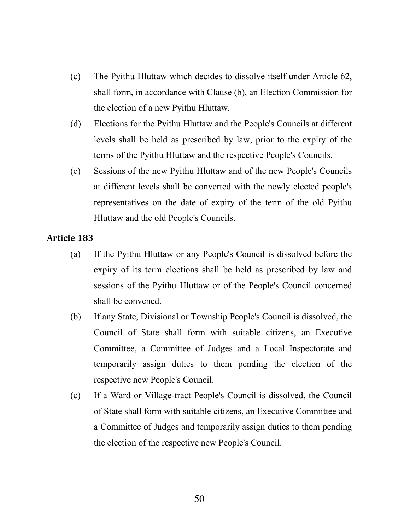- (c) The Pyithu Hluttaw which decides to dissolve itself under Article 62, shall form, in accordance with Clause (b), an Election Commission for the election of a new Pyithu Hluttaw.
- (d) Elections for the Pyithu Hluttaw and the People's Councils at different levels shall be held as prescribed by law, prior to the expiry of the terms of the Pyithu Hluttaw and the respective People's Councils.
- (e) Sessions of the new Pyithu Hluttaw and of the new People's Councils at different levels shall be converted with the newly elected people's representatives on the date of expiry of the term of the old Pyithu Hluttaw and the old People's Councils.

- (a) If the Pyithu Hluttaw or any People's Council is dissolved before the expiry of its term elections shall be held as prescribed by law and sessions of the Pyithu Hluttaw or of the People's Council concerned shall be convened.
- (b) If any State, Divisional or Township People's Council is dissolved, the Council of State shall form with suitable citizens, an Executive Committee, a Committee of Judges and a Local Inspectorate and temporarily assign duties to them pending the election of the respective new People's Council.
- (c) If a Ward or Village-tract People's Council is dissolved, the Council of State shall form with suitable citizens, an Executive Committee and a Committee of Judges and temporarily assign duties to them pending the election of the respective new People's Council.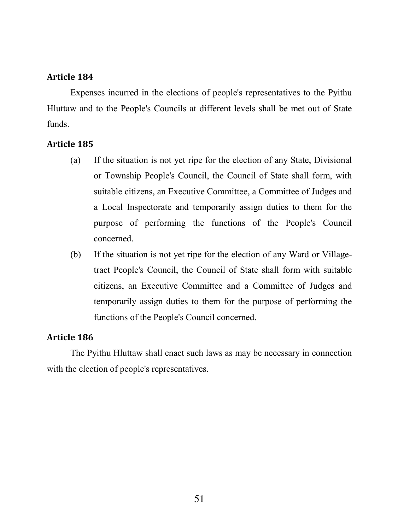Expenses incurred in the elections of people's representatives to the Pyithu Hluttaw and to the People's Councils at different levels shall be met out of State funds.

### Article 185

- (a) If the situation is not yet ripe for the election of any State, Divisional or Township People's Council, the Council of State shall form, with suitable citizens, an Executive Committee, a Committee of Judges and a Local Inspectorate and temporarily assign duties to them for the purpose of performing the functions of the People's Council concerned.
- (b) If the situation is not yet ripe for the election of any Ward or Villagetract People's Council, the Council of State shall form with suitable citizens, an Executive Committee and a Committee of Judges and temporarily assign duties to them for the purpose of performing the functions of the People's Council concerned.

### Article 186

The Pyithu Hluttaw shall enact such laws as may be necessary in connection with the election of people's representatives.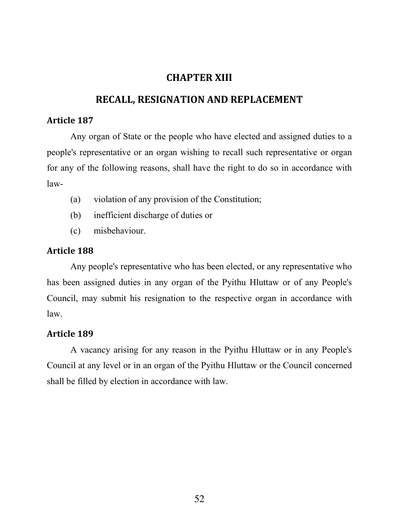## CHAPTER XIII

## RECALL, RESIGNATION AND REPLACEMENT

#### Article 187

Any organ of State or the people who have elected and assigned duties to a people's representative or an organ wishing to recall such representative or organ for any of the following reasons, shall have the right to do so in accordance with law-

- (a) violation of any provision of the Constitution;
- (b) inefficient discharge of duties or
- (c) misbehaviour.

### Article 188

Any people's representative who has been elected, or any representative who has been assigned duties in any organ of the Pyithu Hluttaw or of any People's Council, may submit his resignation to the respective organ in accordance with law.

### Article 189

A vacancy arising for any reason in the Pyithu Hluttaw or in any People's Council at any level or in an organ of the Pyithu Hluttaw or the Council concerned shall be filled by election in accordance with law.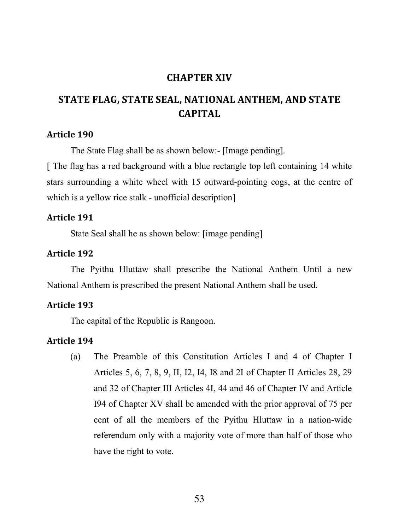## CHAPTER XIV

## STATE FLAG, STATE SEAL, NATIONAL ANTHEM, AND STATE CAPITAL

#### Article 190

The State Flag shall be as shown below:- [Image pending].

[ The flag has a red background with a blue rectangle top left containing 14 white stars surrounding a white wheel with 15 outward-pointing cogs, at the centre of which is a yellow rice stalk - unofficial description

#### Article 191

State Seal shall he as shown below: [image pending]

#### Article 192

The Pyithu Hluttaw shall prescribe the National Anthem Until a new National Anthem is prescribed the present National Anthem shall be used.

#### Article 193

The capital of the Republic is Rangoon.

## Article 194

(a) The Preamble of this Constitution Articles I and 4 of Chapter I Articles 5, 6, 7, 8, 9, II, I2, I4, I8 and 2I of Chapter II Articles 28, 29 and 32 of Chapter III Articles 4I, 44 and 46 of Chapter IV and Article I94 of Chapter XV shall be amended with the prior approval of 75 per cent of all the members of the Pyithu Hluttaw in a nation-wide referendum only with a majority vote of more than half of those who have the right to vote.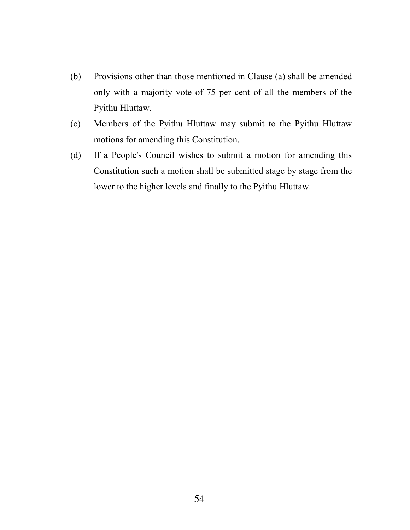- (b) Provisions other than those mentioned in Clause (a) shall be amended only with a majority vote of 75 per cent of all the members of the Pyithu Hluttaw.
- (c) Members of the Pyithu Hluttaw may submit to the Pyithu Hluttaw motions for amending this Constitution.
- (d) If a People's Council wishes to submit a motion for amending this Constitution such a motion shall be submitted stage by stage from the lower to the higher levels and finally to the Pyithu Hluttaw.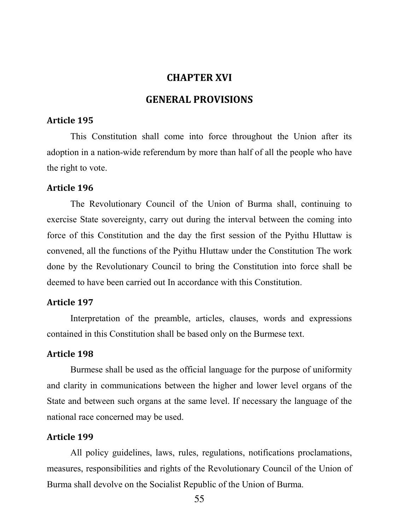### CHAPTER XVI

### GENERAL PROVISIONS

#### Article 195

This Constitution shall come into force throughout the Union after its adoption in a nation-wide referendum by more than half of all the people who have the right to vote.

#### Article 196

The Revolutionary Council of the Union of Burma shall, continuing to exercise State sovereignty, carry out during the interval between the coming into force of this Constitution and the day the first session of the Pyithu Hluttaw is convened, all the functions of the Pyithu Hluttaw under the Constitution The work done by the Revolutionary Council to bring the Constitution into force shall be deemed to have been carried out In accordance with this Constitution.

### Article 197

Interpretation of the preamble, articles, clauses, words and expressions contained in this Constitution shall be based only on the Burmese text.

#### Article 198

Burmese shall be used as the official language for the purpose of uniformity and clarity in communications between the higher and lower level organs of the State and between such organs at the same level. If necessary the language of the national race concerned may be used.

#### Article 199

All policy guidelines, laws, rules, regulations, notifications proclamations, measures, responsibilities and rights of the Revolutionary Council of the Union of Burma shall devolve on the Socialist Republic of the Union of Burma.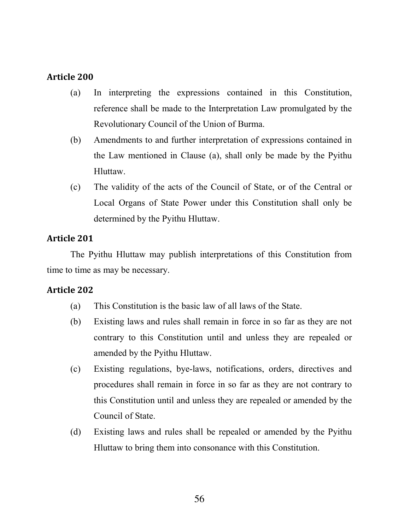- (a) In interpreting the expressions contained in this Constitution, reference shall be made to the Interpretation Law promulgated by the Revolutionary Council of the Union of Burma.
- (b) Amendments to and further interpretation of expressions contained in the Law mentioned in Clause (a), shall only be made by the Pyithu Hluttaw.
- (c) The validity of the acts of the Council of State, or of the Central or Local Organs of State Power under this Constitution shall only be determined by the Pyithu Hluttaw.

## Article 201

The Pyithu Hluttaw may publish interpretations of this Constitution from time to time as may be necessary.

- (a) This Constitution is the basic law of all laws of the State.
- (b) Existing laws and rules shall remain in force in so far as they are not contrary to this Constitution until and unless they are repealed or amended by the Pyithu Hluttaw.
- (c) Existing regulations, bye-laws, notifications, orders, directives and procedures shall remain in force in so far as they are not contrary to this Constitution until and unless they are repealed or amended by the Council of State.
- (d) Existing laws and rules shall be repealed or amended by the Pyithu Hluttaw to bring them into consonance with this Constitution.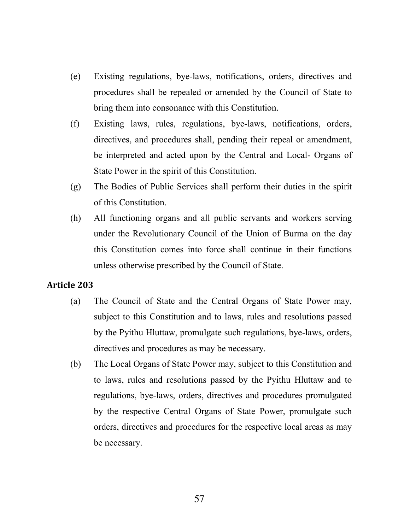- (e) Existing regulations, bye-laws, notifications, orders, directives and procedures shall be repealed or amended by the Council of State to bring them into consonance with this Constitution.
- (f) Existing laws, rules, regulations, bye-laws, notifications, orders, directives, and procedures shall, pending their repeal or amendment, be interpreted and acted upon by the Central and Local- Organs of State Power in the spirit of this Constitution.
- (g) The Bodies of Public Services shall perform their duties in the spirit of this Constitution.
- (h) All functioning organs and all public servants and workers serving under the Revolutionary Council of the Union of Burma on the day this Constitution comes into force shall continue in their functions unless otherwise prescribed by the Council of State.

- (a) The Council of State and the Central Organs of State Power may, subject to this Constitution and to laws, rules and resolutions passed by the Pyithu Hluttaw, promulgate such regulations, bye-laws, orders, directives and procedures as may be necessary.
- (b) The Local Organs of State Power may, subject to this Constitution and to laws, rules and resolutions passed by the Pyithu Hluttaw and to regulations, bye-laws, orders, directives and procedures promulgated by the respective Central Organs of State Power, promulgate such orders, directives and procedures for the respective local areas as may be necessary.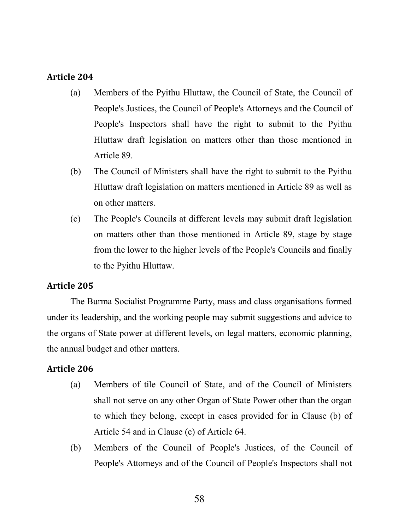- (a) Members of the Pyithu Hluttaw, the Council of State, the Council of People's Justices, the Council of People's Attorneys and the Council of People's Inspectors shall have the right to submit to the Pyithu Hluttaw draft legislation on matters other than those mentioned in Article 89.
- (b) The Council of Ministers shall have the right to submit to the Pyithu Hluttaw draft legislation on matters mentioned in Article 89 as well as on other matters.
- (c) The People's Councils at different levels may submit draft legislation on matters other than those mentioned in Article 89, stage by stage from the lower to the higher levels of the People's Councils and finally to the Pyithu Hluttaw.

### Article 205

The Burma Socialist Programme Party, mass and class organisations formed under its leadership, and the working people may submit suggestions and advice to the organs of State power at different levels, on legal matters, economic planning, the annual budget and other matters.

- (a) Members of tile Council of State, and of the Council of Ministers shall not serve on any other Organ of State Power other than the organ to which they belong, except in cases provided for in Clause (b) of Article 54 and in Clause (c) of Article 64.
- (b) Members of the Council of People's Justices, of the Council of People's Attorneys and of the Council of People's Inspectors shall not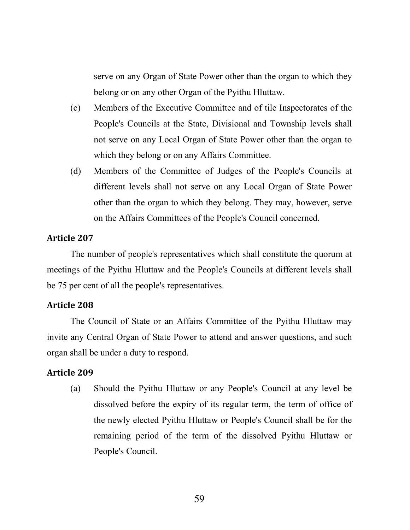serve on any Organ of State Power other than the organ to which they belong or on any other Organ of the Pyithu Hluttaw.

- (c) Members of the Executive Committee and of tile Inspectorates of the People's Councils at the State, Divisional and Township levels shall not serve on any Local Organ of State Power other than the organ to which they belong or on any Affairs Committee.
- (d) Members of the Committee of Judges of the People's Councils at different levels shall not serve on any Local Organ of State Power other than the organ to which they belong. They may, however, serve on the Affairs Committees of the People's Council concerned.

#### Article 207

The number of people's representatives which shall constitute the quorum at meetings of the Pyithu Hluttaw and the People's Councils at different levels shall be 75 per cent of all the people's representatives.

#### Article 208

The Council of State or an Affairs Committee of the Pyithu Hluttaw may invite any Central Organ of State Power to attend and answer questions, and such organ shall be under a duty to respond.

#### Article 209

(a) Should the Pyithu Hluttaw or any People's Council at any level be dissolved before the expiry of its regular term, the term of office of the newly elected Pyithu Hluttaw or People's Council shall be for the remaining period of the term of the dissolved Pyithu Hluttaw or People's Council.